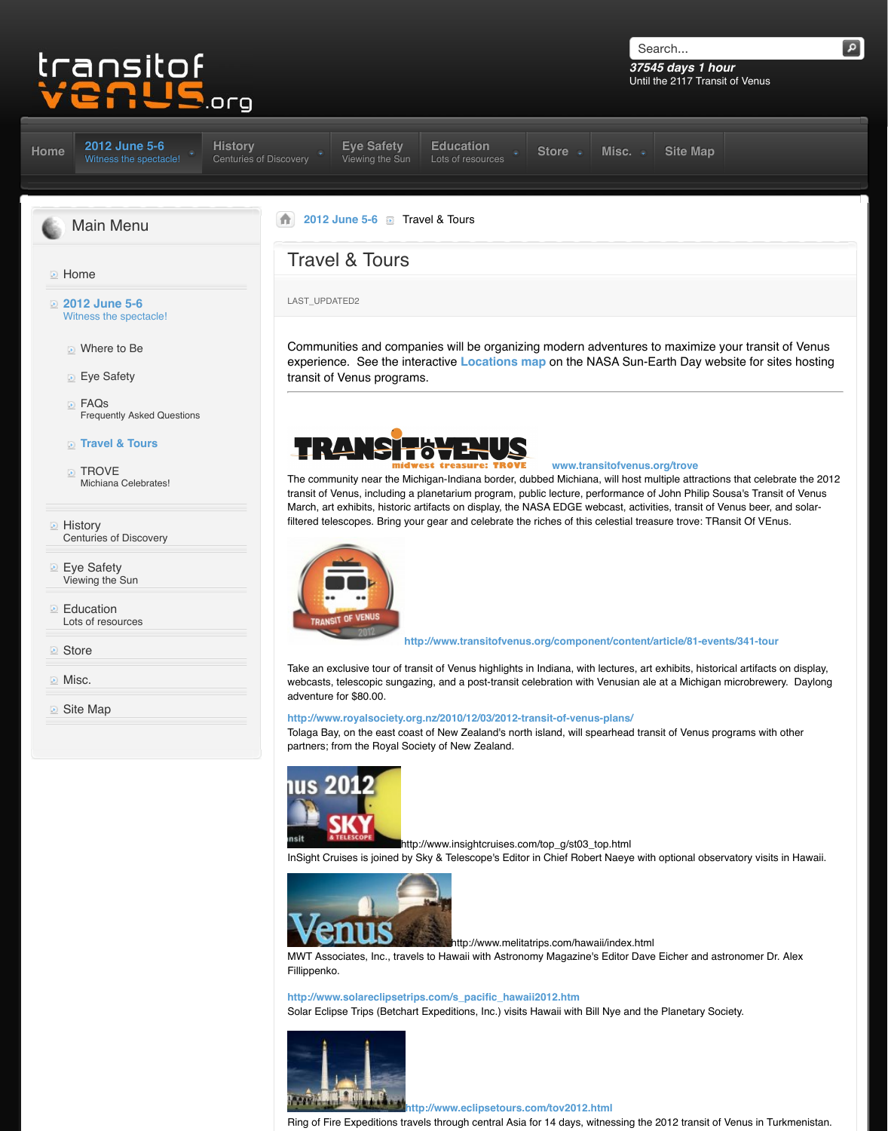#### **Travel & Tours**

- **TROVE** Michiana Celebrates!
- **E** History Centuries of Discovery
- **Eye Safety** Vi[ewing the Sun](http://www.transitofvenus.org/june2012)
- **[Ed](http://www.transitofvenus.org/)ucation** Lots of resources
- **Store**
- **Misc.**
- **D** [Site Map](http://www.transitofvenus.org/)



The community near the Michigan-Indiana border, du transit of Venus, including a planetarium program, pu March, art exhibits, historic artifacts on display, the N filtered telescopes. Bring your gear and celebrate the



http://www.transitofvenus

[T](http://www.transitofvenus.org/)[ake an exclusive tou](http://www.transitofvenus.org/june2012)r of transit of Venus highlights in webcasts, telescopic sungazing, and a post-transit ce adventure for \$80.00.

# http://www.royalsociety.org.nz/2010/12/03/2012-tr

Tolaga Bay, on the east coast of New Zealand's north partners; from the Royal Society of New Zealand.



http://www.insightcruises.co

InSight Cruises is joined by Sky & Telescope's Editor



lhttp://www.melita

MWT Associates, Inc., travels to Hawaii with Astrono Fillippenko.

[http://www.solareclipset](http://www.transitofvenus.org/images/stories/logo-bustour-2012-600p.jpg)rips.com/s\_pacific\_hawa Solar Eclipse Trips (Betchart Expeditions, Inc.) visits



**Latting://www.eclipsetours.com/** 

Ring of Fire Expeditions travels through central Asia